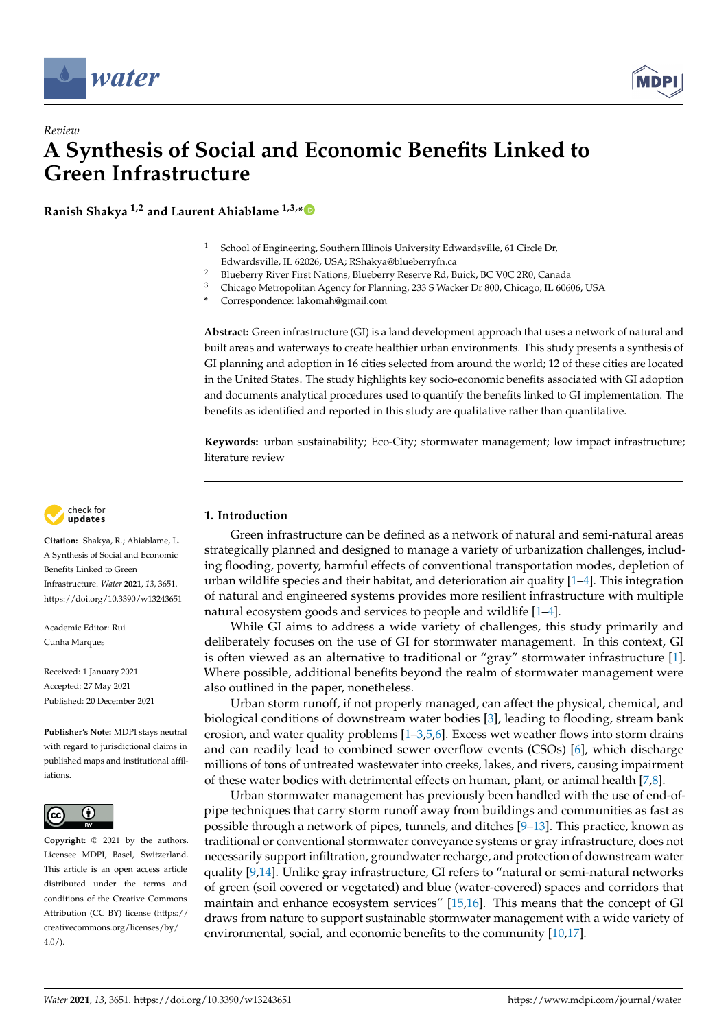



# *Review* **A Synthesis of Social and Economic Benefits Linked to Green Infrastructure**

**Ranish Shakya 1,2 and Laurent Ahiablame 1,3,[\\*](https://orcid.org/0000-0002-4330-3867)**

- <sup>1</sup> School of Engineering, Southern Illinois University Edwardsville, 61 Circle Dr, Edwardsville, IL 62026, USA; RShakya@blueberryfn.ca
- <sup>2</sup> Blueberry River First Nations, Blueberry Reserve Rd, Buick, BC V0C 2R0, Canada<br><sup>3</sup> Chieseo Metropolitan Agency for Planning, 223 S. Wasker Dr. 800, Chieseo, H. 606
- <sup>3</sup> Chicago Metropolitan Agency for Planning, 233 S Wacker Dr 800, Chicago, IL 60606, USA
- **\*** Correspondence: lakomah@gmail.com

**Abstract:** Green infrastructure (GI) is a land development approach that uses a network of natural and built areas and waterways to create healthier urban environments. This study presents a synthesis of GI planning and adoption in 16 cities selected from around the world; 12 of these cities are located in the United States. The study highlights key socio-economic benefits associated with GI adoption and documents analytical procedures used to quantify the benefits linked to GI implementation. The benefits as identified and reported in this study are qualitative rather than quantitative.

**Keywords:** urban sustainability; Eco-City; stormwater management; low impact infrastructure; literature review



**Citation:** Shakya, R.; Ahiablame, L. A Synthesis of Social and Economic Benefits Linked to Green Infrastructure. *Water* **2021**, *13*, 3651. <https://doi.org/10.3390/w13243651>

Academic Editor: Rui Cunha Marques

Received: 1 January 2021 Accepted: 27 May 2021 Published: 20 December 2021

**Publisher's Note:** MDPI stays neutral with regard to jurisdictional claims in published maps and institutional affiliations.



**Copyright:** © 2021 by the authors. Licensee MDPI, Basel, Switzerland. This article is an open access article distributed under the terms and conditions of the Creative Commons Attribution (CC BY) license (https:/[/](https://creativecommons.org/licenses/by/4.0/) [creativecommons.org/licenses/by/](https://creativecommons.org/licenses/by/4.0/)  $4.0/$ ).

# **1. Introduction**

Green infrastructure can be defined as a network of natural and semi-natural areas strategically planned and designed to manage a variety of urbanization challenges, including flooding, poverty, harmful effects of conventional transportation modes, depletion of urban wildlife species and their habitat, and deterioration air quality  $[1-4]$  $[1-4]$ . This integration of natural and engineered systems provides more resilient infrastructure with multiple natural ecosystem goods and services to people and wildlife [\[1](#page-11-0)[–4\]](#page-11-1).

While GI aims to address a wide variety of challenges, this study primarily and deliberately focuses on the use of GI for stormwater management. In this context, GI is often viewed as an alternative to traditional or "gray" stormwater infrastructure [\[1\]](#page-11-0). Where possible, additional benefits beyond the realm of stormwater management were also outlined in the paper, nonetheless.

Urban storm runoff, if not properly managed, can affect the physical, chemical, and biological conditions of downstream water bodies [\[3\]](#page-11-2), leading to flooding, stream bank erosion, and water quality problems  $[1-3,5,6]$  $[1-3,5,6]$  $[1-3,5,6]$  $[1-3,5,6]$ . Excess wet weather flows into storm drains and can readily lead to combined sewer overflow events (CSOs) [\[6\]](#page-12-0), which discharge millions of tons of untreated wastewater into creeks, lakes, and rivers, causing impairment of these water bodies with detrimental effects on human, plant, or animal health [\[7,](#page-12-1)[8\]](#page-12-2).

Urban stormwater management has previously been handled with the use of end-ofpipe techniques that carry storm runoff away from buildings and communities as fast as possible through a network of pipes, tunnels, and ditches [\[9](#page-12-3)[–13\]](#page-12-4). This practice, known as traditional or conventional stormwater conveyance systems or gray infrastructure, does not necessarily support infiltration, groundwater recharge, and protection of downstream water quality [\[9,](#page-12-3)[14\]](#page-12-5). Unlike gray infrastructure, GI refers to "natural or semi-natural networks of green (soil covered or vegetated) and blue (water-covered) spaces and corridors that maintain and enhance ecosystem services" [\[15,](#page-12-6)[16\]](#page-12-7). This means that the concept of GI draws from nature to support sustainable stormwater management with a wide variety of environmental, social, and economic benefits to the community [\[10,](#page-12-8)[17\]](#page-12-9).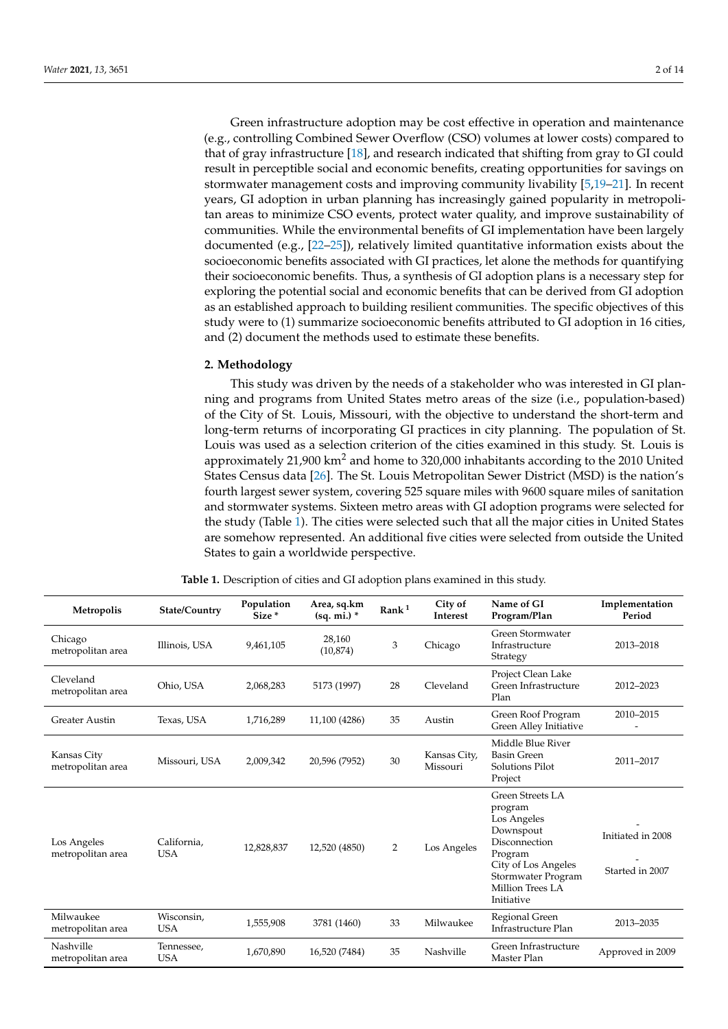Green infrastructure adoption may be cost effective in operation and maintenance (e.g., controlling Combined Sewer Overflow (CSO) volumes at lower costs) compared to that of gray infrastructure [\[18\]](#page-12-10), and research indicated that shifting from gray to GI could result in perceptible social and economic benefits, creating opportunities for savings on stormwater management costs and improving community livability [\[5](#page-11-3)[,19–](#page-12-11)[21\]](#page-12-12). In recent years, GI adoption in urban planning has increasingly gained popularity in metropolitan areas to minimize CSO events, protect water quality, and improve sustainability of communities. While the environmental benefits of GI implementation have been largely documented (e.g., [\[22](#page-12-13)[–25\]](#page-12-14)), relatively limited quantitative information exists about the socioeconomic benefits associated with GI practices, let alone the methods for quantifying their socioeconomic benefits. Thus, a synthesis of GI adoption plans is a necessary step for exploring the potential social and economic benefits that can be derived from GI adoption as an established approach to building resilient communities. The specific objectives of this study were to (1) summarize socioeconomic benefits attributed to GI adoption in 16 cities, and (2) document the methods used to estimate these benefits.

## **2. Methodology**

This study was driven by the needs of a stakeholder who was interested in GI planning and programs from United States metro areas of the size (i.e., population-based) of the City of St. Louis, Missouri, with the objective to understand the short-term and long-term returns of incorporating GI practices in city planning. The population of St. Louis was used as a selection criterion of the cities examined in this study. St. Louis is approximately 21,900 km<sup>2</sup> and home to 320,000 inhabitants according to the 2010 United States Census data [\[26\]](#page-12-15). The St. Louis Metropolitan Sewer District (MSD) is the nation's fourth largest sewer system, covering 525 square miles with 9600 square miles of sanitation and stormwater systems. Sixteen metro areas with GI adoption programs were selected for the study (Table [1\)](#page-2-0). The cities were selected such that all the major cities in United States are somehow represented. An additional five cities were selected from outside the United States to gain a worldwide perspective.

| Metropolis                       | State/Country             | Population<br>Size <sup>*</sup> | City of<br>Area, sq.km<br>$\rm{Rank}^{\,1}$<br>$(sq. mi.)$ *<br>Interest |                | Name of GI<br>Program/Plan | Implementation<br>Period                                                                                                                                           |                                      |
|----------------------------------|---------------------------|---------------------------------|--------------------------------------------------------------------------|----------------|----------------------------|--------------------------------------------------------------------------------------------------------------------------------------------------------------------|--------------------------------------|
| Chicago<br>metropolitan area     | Illinois, USA             | 9,461,105                       | 28,160<br>(10, 874)                                                      | 3              | Chicago                    | Green Stormwater<br>Infrastructure<br>Strategy                                                                                                                     | 2013-2018                            |
| Cleveland<br>metropolitan area   | Ohio, USA                 | 2,068,283                       | 5173 (1997)                                                              | 28             | Cleveland                  | Project Clean Lake<br>Green Infrastructure<br>Plan                                                                                                                 | 2012-2023                            |
| <b>Greater Austin</b>            | Texas, USA                | 1,716,289                       | 11,100 (4286)                                                            | 35             | Austin                     | Green Roof Program<br>Green Alley Initiative                                                                                                                       | 2010-2015                            |
| Kansas City<br>metropolitan area | Missouri, USA             | 2,009,342                       | 20,596 (7952)                                                            | 30             | Kansas City,<br>Missouri   | Middle Blue River<br><b>Basin Green</b><br>Solutions Pilot<br>Project                                                                                              | 2011-2017                            |
| Los Angeles<br>metropolitan area | California,<br><b>USA</b> | 12,828,837                      | 12,520 (4850)                                                            | $\overline{2}$ | Los Angeles                | Green Streets LA<br>program<br>Los Angeles<br>Downspout<br>Disconnection<br>Program<br>City of Los Angeles<br>Stormwater Program<br>Million Trees LA<br>Initiative | Initiated in 2008<br>Started in 2007 |
| Milwaukee<br>metropolitan area   | Wisconsin,<br><b>USA</b>  | 1,555,908                       | 3781 (1460)                                                              | 33             | Milwaukee                  | Regional Green<br>Infrastructure Plan                                                                                                                              | 2013-2035                            |
| Nashville<br>metropolitan area   | Tennessee,<br><b>USA</b>  | 1,670,890                       | 16,520 (7484)                                                            | 35             | Nashville                  | Green Infrastructure<br>Master Plan                                                                                                                                | Approved in 2009                     |

**Table 1.** Description of cities and GI adoption plans examined in this study.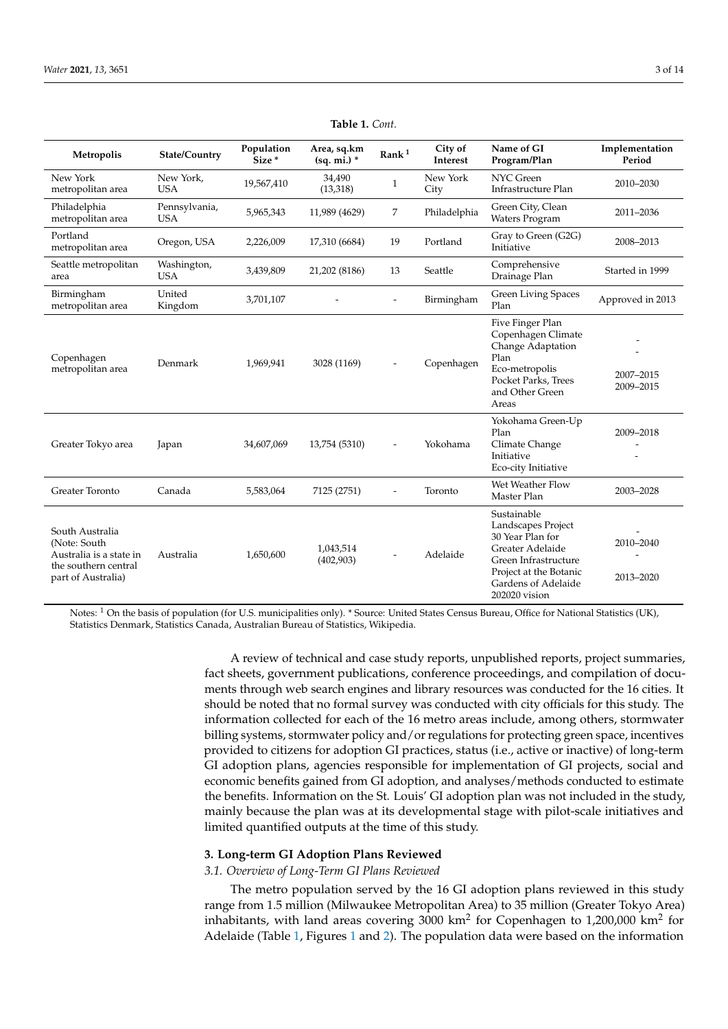<span id="page-2-0"></span>

| Metropolis                                                                                               | <b>State/Country</b>        | Population<br>Size* | Area, sq.km<br>Rank <sup>1</sup><br>$(sq. mi.)$ * |              | City of<br>Interest                | Name of GI<br>Program/Plan                                                                                                                                          | Implementation<br>Period |
|----------------------------------------------------------------------------------------------------------|-----------------------------|---------------------|---------------------------------------------------|--------------|------------------------------------|---------------------------------------------------------------------------------------------------------------------------------------------------------------------|--------------------------|
| New York<br>metropolitan area                                                                            | New York,<br><b>USA</b>     | 19,567,410          | 34,490<br>(13, 318)                               | $\mathbf{1}$ | New York<br>City                   | <b>NYC</b> Green<br>Infrastructure Plan                                                                                                                             | 2010-2030                |
| Philadelphia<br>metropolitan area                                                                        | Pennsylvania,<br><b>USA</b> | 5,965,343           | 11,989 (4629)                                     | 7            | Philadelphia                       | Green City, Clean<br><b>Waters Program</b>                                                                                                                          | 2011-2036                |
| Portland<br>metropolitan area                                                                            | Oregon, USA                 | 2,226,009           | 17,310 (6684)                                     | 19           | Portland                           | Gray to Green (G2G)<br>Initiative                                                                                                                                   | 2008-2013                |
| Seattle metropolitan<br>area                                                                             | Washington,<br><b>USA</b>   | 3,439,809           | 21,202 (8186)                                     | 13           | Seattle                            | Comprehensive<br>Drainage Plan                                                                                                                                      | Started in 1999          |
| Birmingham<br>metropolitan area                                                                          | United<br>Kingdom           | 3,701,107           | Birmingham                                        |              | <b>Green Living Spaces</b><br>Plan | Approved in 2013                                                                                                                                                    |                          |
| Copenhagen<br>metropolitan area                                                                          | Denmark                     | 1,969,941           | 3028 (1169)                                       |              | Copenhagen                         | Five Finger Plan<br>Copenhagen Climate<br>Change Adaptation<br>Plan<br>Eco-metropolis<br>Pocket Parks, Trees<br>and Other Green<br>Areas                            | 2007-2015<br>2009-2015   |
| Greater Tokyo area                                                                                       | Japan                       | 34,607,069          | 13,754 (5310)                                     |              | Yokohama                           | Yokohama Green-Up<br>Plan<br>Climate Change<br>Initiative<br>Eco-city Initiative                                                                                    | 2009-2018                |
| Greater Toronto                                                                                          | Canada                      | 5,583,064           | 7125 (2751)                                       |              | Toronto                            | Wet Weather Flow<br>Master Plan                                                                                                                                     | 2003-2028                |
| South Australia<br>(Note: South<br>Australia is a state in<br>the southern central<br>part of Australia) | Australia                   | 1,650,600           | 1,043,514<br>(402,903)                            |              | Adelaide                           | Sustainable<br>Landscapes Project<br>30 Year Plan for<br>Greater Adelaide<br>Green Infrastructure<br>Project at the Botanic<br>Gardens of Adelaide<br>202020 vision | 2010-2040<br>2013-2020   |

**Table 1.** *Cont.*

Notes: <sup>1</sup> On the basis of population (for U.S. municipalities only). \* Source: United States Census Bureau, Office for National Statistics (UK), Statistics Denmark, Statistics Canada, Australian Bureau of Statistics, Wikipedia.

> A review of technical and case study reports, unpublished reports, project summaries, fact sheets, government publications, conference proceedings, and compilation of documents through web search engines and library resources was conducted for the 16 cities. It should be noted that no formal survey was conducted with city officials for this study. The information collected for each of the 16 metro areas include, among others, stormwater billing systems, stormwater policy and/or regulations for protecting green space, incentives provided to citizens for adoption GI practices, status (i.e., active or inactive) of long-term GI adoption plans, agencies responsible for implementation of GI projects, social and economic benefits gained from GI adoption, and analyses/methods conducted to estimate the benefits. Information on the St. Louis' GI adoption plan was not included in the study, mainly because the plan was at its developmental stage with pilot-scale initiatives and limited quantified outputs at the time of this study.

## **3. Long-term GI Adoption Plans Reviewed**

# *3.1. Overview of Long-Term GI Plans Reviewed*

The metro population served by the 16 GI adoption plans reviewed in this study range from 1.5 million (Milwaukee Metropolitan Area) to 35 million (Greater Tokyo Area) inhabitants, with land areas covering 3000  $km^2$  for Copenhagen to 1,200,000  $km^2$  for Adelaide (Table [1,](#page-2-0) Figures [1](#page-3-0) and [2\)](#page-3-1). The population data were based on the information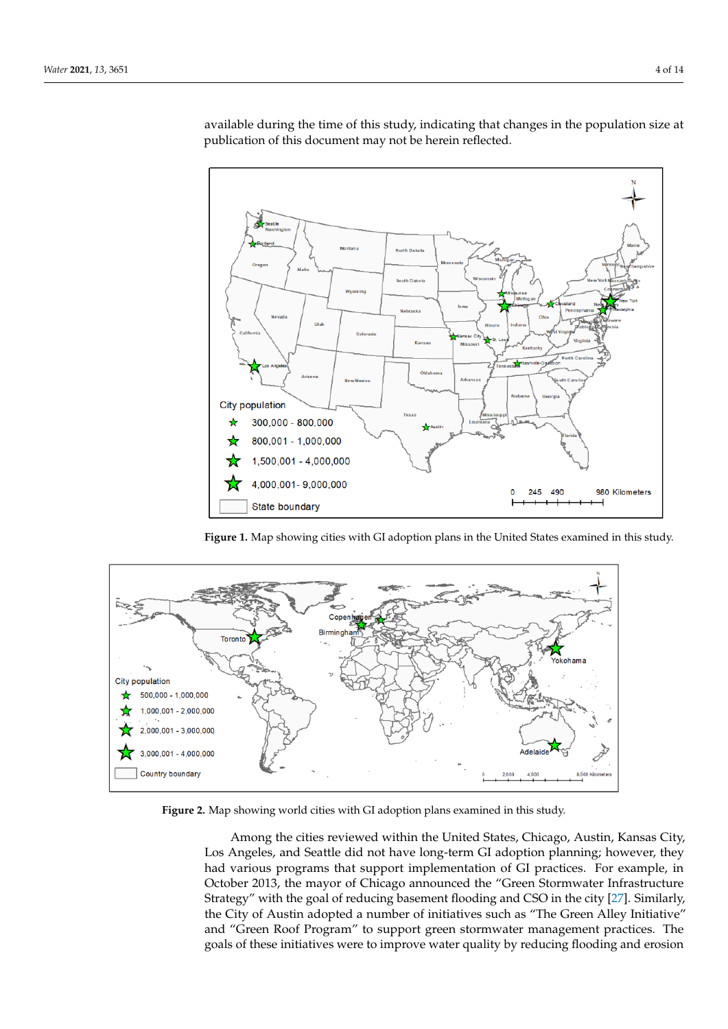

<span id="page-3-0"></span>available during the time of this study, indicating that changes in the population size at available during the time of this study, mentaling that entinges in the population size at publication of this document may not be herein reflected. (G2G) Initiative" with USD 50 million to encourage GI adoption for reducing CSO, base-

**Figure 1.** Map showing cities with GI adoption plans in the United States examined in this study. **Figure 1.** Map showing cities with GI adoption plans in the United States examined in this study.

<span id="page-3-1"></span>

**Figure 2.** Map showing world cities with GI adoption plans examined in this study. **Figure 2.** Map showing world cities with GI adoption plans examined in this study.

Among the cities reviewed within the United States, Chicago, Austin, Kansas City, Los Angeles, and Seattle did not have long-term GI adoption planning; however, they had various programs that support implementation of GI practices. For example, in October 2013, the mayor of Chicago announced the "Green Stormwater Infrastructure Strategy" with the goal of reducing basement flooding and CSO in the city  $[27]$ . Similarly, the City of Austin adopted a number of initiatives such as "The Green Alley Initiative" and "Green Roof Program" to support green stormwater management practices. The goals of these initiatives were to improve water quality by reducing flooding and erosion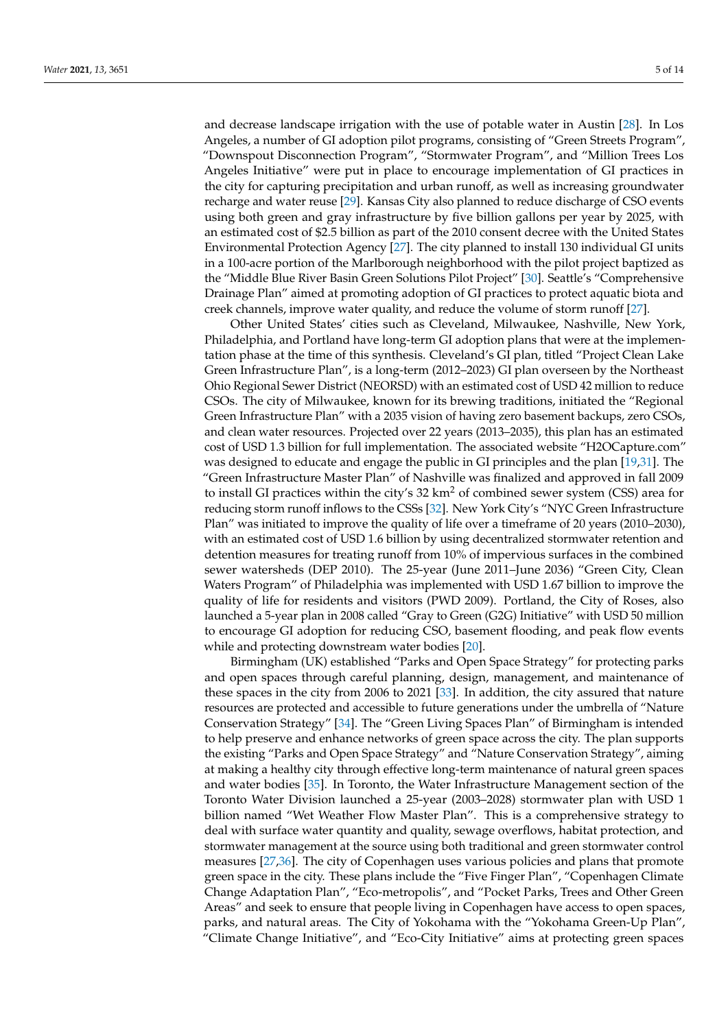and decrease landscape irrigation with the use of potable water in Austin [\[28\]](#page-12-17). In Los Angeles, a number of GI adoption pilot programs, consisting of "Green Streets Program", "Downspout Disconnection Program", "Stormwater Program", and "Million Trees Los Angeles Initiative" were put in place to encourage implementation of GI practices in the city for capturing precipitation and urban runoff, as well as increasing groundwater recharge and water reuse [\[29\]](#page-12-18). Kansas City also planned to reduce discharge of CSO events using both green and gray infrastructure by five billion gallons per year by 2025, with an estimated cost of \$2.5 billion as part of the 2010 consent decree with the United States Environmental Protection Agency [\[27\]](#page-12-16). The city planned to install 130 individual GI units in a 100-acre portion of the Marlborough neighborhood with the pilot project baptized as the "Middle Blue River Basin Green Solutions Pilot Project" [\[30\]](#page-12-19). Seattle's "Comprehensive Drainage Plan" aimed at promoting adoption of GI practices to protect aquatic biota and creek channels, improve water quality, and reduce the volume of storm runoff [\[27\]](#page-12-16).

Other United States' cities such as Cleveland, Milwaukee, Nashville, New York, Philadelphia, and Portland have long-term GI adoption plans that were at the implementation phase at the time of this synthesis. Cleveland's GI plan, titled "Project Clean Lake Green Infrastructure Plan", is a long-term (2012–2023) GI plan overseen by the Northeast Ohio Regional Sewer District (NEORSD) with an estimated cost of USD 42 million to reduce CSOs. The city of Milwaukee, known for its brewing traditions, initiated the "Regional Green Infrastructure Plan" with a 2035 vision of having zero basement backups, zero CSOs, and clean water resources. Projected over 22 years (2013–2035), this plan has an estimated cost of USD 1.3 billion for full implementation. The associated website "H2OCapture.com" was designed to educate and engage the public in GI principles and the plan [\[19,](#page-12-11)[31\]](#page-12-20). The "Green Infrastructure Master Plan" of Nashville was finalized and approved in fall 2009 to install GI practices within the city's  $32 \text{ km}^2$  of combined sewer system (CSS) area for reducing storm runoff inflows to the CSSs [\[32\]](#page-13-0). New York City's "NYC Green Infrastructure Plan" was initiated to improve the quality of life over a timeframe of 20 years (2010–2030), with an estimated cost of USD 1.6 billion by using decentralized stormwater retention and detention measures for treating runoff from 10% of impervious surfaces in the combined sewer watersheds (DEP 2010). The 25-year (June 2011–June 2036) "Green City, Clean Waters Program" of Philadelphia was implemented with USD 1.67 billion to improve the quality of life for residents and visitors (PWD 2009). Portland, the City of Roses, also launched a 5-year plan in 2008 called "Gray to Green (G2G) Initiative" with USD 50 million to encourage GI adoption for reducing CSO, basement flooding, and peak flow events while and protecting downstream water bodies [\[20\]](#page-12-21).

Birmingham (UK) established "Parks and Open Space Strategy" for protecting parks and open spaces through careful planning, design, management, and maintenance of these spaces in the city from 2006 to 2021 [\[33\]](#page-13-1). In addition, the city assured that nature resources are protected and accessible to future generations under the umbrella of "Nature Conservation Strategy" [\[34\]](#page-13-2). The "Green Living Spaces Plan" of Birmingham is intended to help preserve and enhance networks of green space across the city. The plan supports the existing "Parks and Open Space Strategy" and "Nature Conservation Strategy", aiming at making a healthy city through effective long-term maintenance of natural green spaces and water bodies [\[35\]](#page-13-3). In Toronto, the Water Infrastructure Management section of the Toronto Water Division launched a 25-year (2003–2028) stormwater plan with USD 1 billion named "Wet Weather Flow Master Plan". This is a comprehensive strategy to deal with surface water quantity and quality, sewage overflows, habitat protection, and stormwater management at the source using both traditional and green stormwater control measures [\[27,](#page-12-16)[36\]](#page-13-4). The city of Copenhagen uses various policies and plans that promote green space in the city. These plans include the "Five Finger Plan", "Copenhagen Climate Change Adaptation Plan", "Eco-metropolis", and "Pocket Parks, Trees and Other Green Areas" and seek to ensure that people living in Copenhagen have access to open spaces, parks, and natural areas. The City of Yokohama with the "Yokohama Green-Up Plan", "Climate Change Initiative", and "Eco-City Initiative" aims at protecting green spaces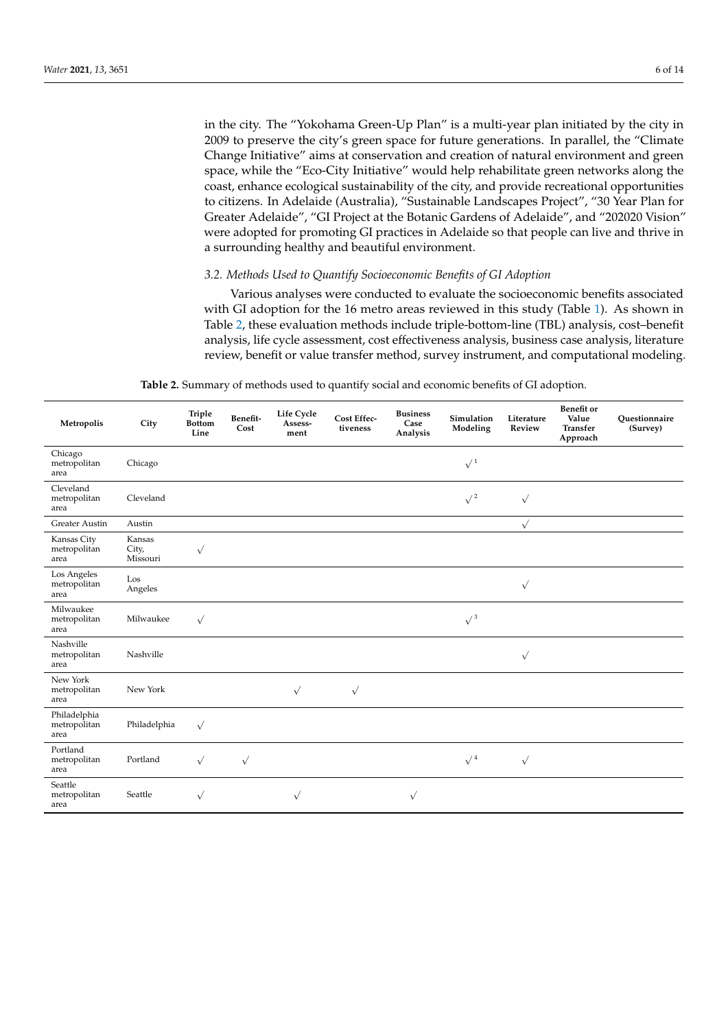in the city. The "Yokohama Green-Up Plan" is a multi-year plan initiated by the city in 2009 to preserve the city's green space for future generations. In parallel, the "Climate Change Initiative" aims at conservation and creation of natural environment and green space, while the "Eco-City Initiative" would help rehabilitate green networks along the coast, enhance ecological sustainability of the city, and provide recreational opportunities to citizens. In Adelaide (Australia), "Sustainable Landscapes Project", "30 Year Plan for Greater Adelaide", "GI Project at the Botanic Gardens of Adelaide", and "202020 Vision" were adopted for promoting GI practices in Adelaide so that people can live and thrive in a surrounding healthy and beautiful environment.

# *3.2. Methods Used to Quantify Socioeconomic Benefits of GI Adoption*

Various analyses were conducted to evaluate the socioeconomic benefits associated with GI adoption for the 16 metro areas reviewed in this study (Table [1\)](#page-2-0). As shown in Table [2,](#page-6-0) these evaluation methods include triple-bottom-line (TBL) analysis, cost–benefit analysis, life cycle assessment, cost effectiveness analysis, business case analysis, literature review, benefit or value transfer method, survey instrument, and computational modeling.

| <b>Table 2.</b> Summary of methods used to quantify social and economic benefits of GI adoption. |  |  |  |
|--------------------------------------------------------------------------------------------------|--|--|--|
|--------------------------------------------------------------------------------------------------|--|--|--|

| Metropolis                           | City                        | Triple<br><b>Bottom</b><br>Line | Benefit-<br>Cost | Life Cycle<br>Assess-<br>ment | Cost Effec-<br>tiveness | <b>Business</b><br>Case<br>Analysis | Simulation<br>Modeling | Literature<br>Review | Benefit or<br>Value<br><b>Transfer</b><br>Approach | Questionnaire<br>(Survey) |
|--------------------------------------|-----------------------------|---------------------------------|------------------|-------------------------------|-------------------------|-------------------------------------|------------------------|----------------------|----------------------------------------------------|---------------------------|
| Chicago<br>metropolitan<br>area      | Chicago                     |                                 |                  |                               |                         |                                     | $\sqrt{1}$             |                      |                                                    |                           |
| Cleveland<br>metropolitan<br>area    | Cleveland                   |                                 |                  |                               |                         |                                     | $\sqrt{2}$             | $\sqrt{ }$           |                                                    |                           |
| Greater Austin                       | Austin                      |                                 |                  |                               |                         |                                     |                        | $\sqrt{}$            |                                                    |                           |
| Kansas City<br>metropolitan<br>area  | Kansas<br>City,<br>Missouri | $\sqrt{}$                       |                  |                               |                         |                                     |                        |                      |                                                    |                           |
| Los Angeles<br>metropolitan<br>area  | Los<br>Angeles              |                                 |                  |                               |                         |                                     |                        | $\sqrt{}$            |                                                    |                           |
| Milwaukee<br>metropolitan<br>area    | Milwaukee                   | $\sqrt{}$                       |                  |                               |                         |                                     | $\sqrt{3}$             |                      |                                                    |                           |
| Nashville<br>metropolitan<br>area    | Nashville                   |                                 |                  |                               |                         |                                     |                        | $\sqrt{}$            |                                                    |                           |
| New York<br>metropolitan<br>area     | New York                    |                                 |                  | $\sqrt{}$                     | $\sqrt{}$               |                                     |                        |                      |                                                    |                           |
| Philadelphia<br>metropolitan<br>area | Philadelphia                | $\sqrt{}$                       |                  |                               |                         |                                     |                        |                      |                                                    |                           |
| Portland<br>metropolitan<br>area     | Portland                    | $\sqrt{}$                       | $\sqrt{ }$       |                               |                         |                                     | $\sqrt{4}$             | $\sqrt{ }$           |                                                    |                           |
| Seattle<br>metropolitan<br>area      | Seattle                     | $\sqrt{}$                       |                  | $\sqrt{}$                     |                         | $\sqrt{}$                           |                        |                      |                                                    |                           |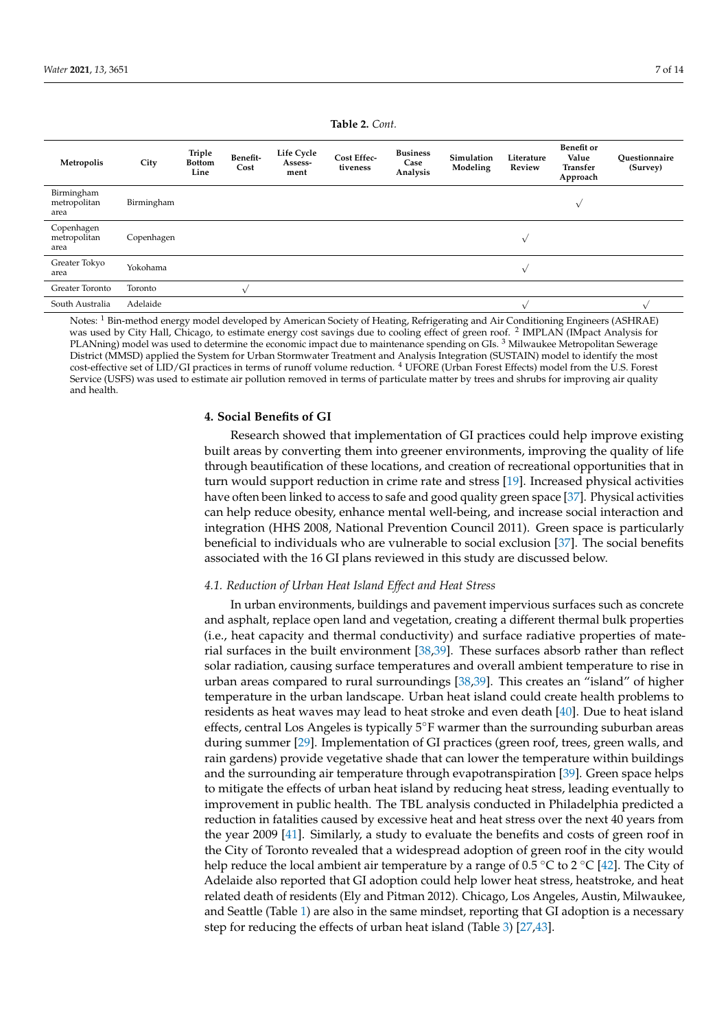<span id="page-6-0"></span>

| Metropolis                         | City       | Triple<br><b>Bottom</b><br>Line | Benefit-<br>Cost | <b>Life Cycle</b><br>Assess-<br>ment | Cost Effec-<br>tiveness | <b>Business</b><br>Case<br>Analysis | Simulation<br>Modeling | Literature<br>Review | <b>Benefit</b> or<br>Value<br><b>Transfer</b><br>Approach | Ouestionnaire<br>(Survey) |
|------------------------------------|------------|---------------------------------|------------------|--------------------------------------|-------------------------|-------------------------------------|------------------------|----------------------|-----------------------------------------------------------|---------------------------|
| Birmingham<br>metropolitan<br>area | Birmingham |                                 |                  |                                      |                         |                                     |                        |                      | $\sqrt{ }$                                                |                           |
| Copenhagen<br>metropolitan<br>area | Copenhagen |                                 |                  |                                      |                         |                                     |                        | $\sqrt{ }$           |                                                           |                           |
| Greater Tokyo<br>area              | Yokohama   |                                 |                  |                                      |                         |                                     |                        | $\sqrt{ }$           |                                                           |                           |
| Greater Toronto                    | Toronto    |                                 |                  |                                      |                         |                                     |                        |                      |                                                           |                           |
| South Australia                    | Adelaide   |                                 |                  |                                      |                         |                                     |                        |                      |                                                           |                           |

Notes: <sup>1</sup> Bin-method energy model developed by American Society of Heating, Refrigerating and Air Conditioning Engineers (ASHRAE) was used by City Hall, Chicago, to estimate energy cost savings due to cooling effect of green roof. <sup>2</sup> IMPLAN (IMpact Analysis for PLANning) model was used to determine the economic impact due to maintenance spending on GIs. <sup>3</sup> Milwaukee Metropolitan Sewerage District (MMSD) applied the System for Urban Stormwater Treatment and Analysis Integration (SUSTAIN) model to identify the most cost-effective set of LID/GI practices in terms of runoff volume reduction. <sup>4</sup> UFORE (Urban Forest Effects) model from the U.S. Forest Service (USFS) was used to estimate air pollution removed in terms of particulate matter by trees and shrubs for improving air quality and health.

#### **4. Social Benefits of GI**

Research showed that implementation of GI practices could help improve existing built areas by converting them into greener environments, improving the quality of life through beautification of these locations, and creation of recreational opportunities that in turn would support reduction in crime rate and stress [\[19\]](#page-12-11). Increased physical activities have often been linked to access to safe and good quality green space [\[37\]](#page-13-5). Physical activities can help reduce obesity, enhance mental well-being, and increase social interaction and integration (HHS 2008, National Prevention Council 2011). Green space is particularly beneficial to individuals who are vulnerable to social exclusion [\[37\]](#page-13-5). The social benefits associated with the 16 GI plans reviewed in this study are discussed below.

## *4.1. Reduction of Urban Heat Island Effect and Heat Stress*

In urban environments, buildings and pavement impervious surfaces such as concrete and asphalt, replace open land and vegetation, creating a different thermal bulk properties (i.e., heat capacity and thermal conductivity) and surface radiative properties of material surfaces in the built environment [\[38,](#page-13-6)[39\]](#page-13-7). These surfaces absorb rather than reflect solar radiation, causing surface temperatures and overall ambient temperature to rise in urban areas compared to rural surroundings [\[38,](#page-13-6)[39\]](#page-13-7). This creates an "island" of higher temperature in the urban landscape. Urban heat island could create health problems to residents as heat waves may lead to heat stroke and even death [\[40\]](#page-13-8). Due to heat island effects, central Los Angeles is typically 5◦F warmer than the surrounding suburban areas during summer [\[29\]](#page-12-18). Implementation of GI practices (green roof, trees, green walls, and rain gardens) provide vegetative shade that can lower the temperature within buildings and the surrounding air temperature through evapotranspiration [\[39\]](#page-13-7). Green space helps to mitigate the effects of urban heat island by reducing heat stress, leading eventually to improvement in public health. The TBL analysis conducted in Philadelphia predicted a reduction in fatalities caused by excessive heat and heat stress over the next 40 years from the year 2009 [\[41\]](#page-13-9). Similarly, a study to evaluate the benefits and costs of green roof in the City of Toronto revealed that a widespread adoption of green roof in the city would help reduce the local ambient air temperature by a range of 0.5 °C to 2 °C [\[42\]](#page-13-10). The City of Adelaide also reported that GI adoption could help lower heat stress, heatstroke, and heat related death of residents (Ely and Pitman 2012). Chicago, Los Angeles, Austin, Milwaukee, and Seattle (Table [1\)](#page-2-0) are also in the same mindset, reporting that GI adoption is a necessary step for reducing the effects of urban heat island (Table [3\)](#page-7-0) [\[27,](#page-12-16)[43\]](#page-13-11).

#### **Table 2.** *Cont.*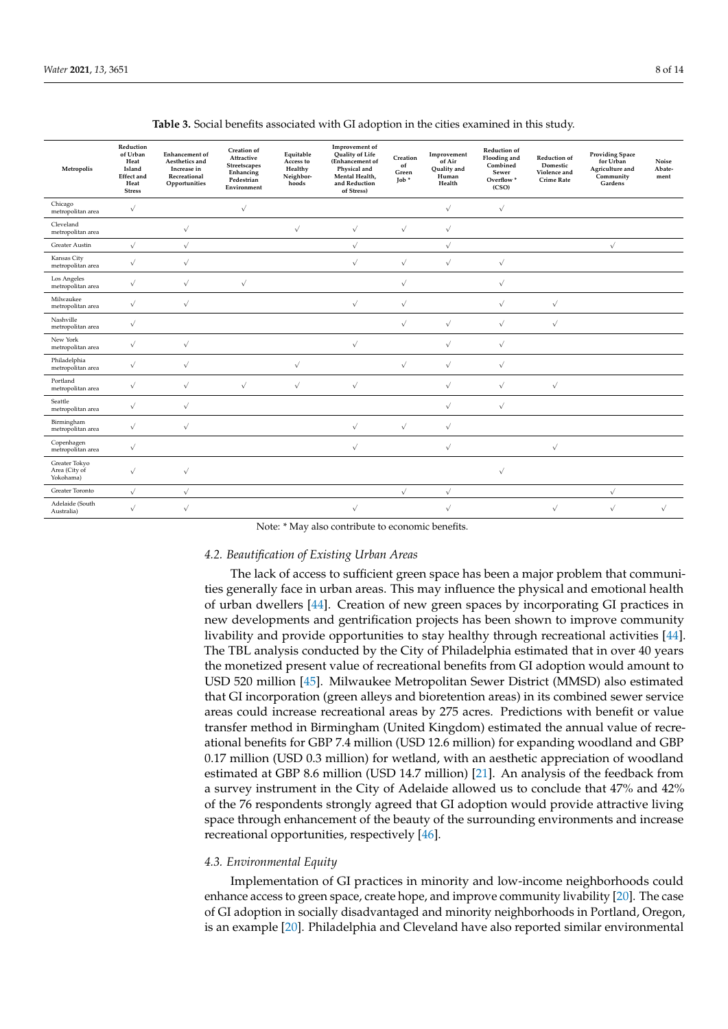<span id="page-7-0"></span>

| Metropolis                                  | Reduction<br>of Urban<br>Heat<br>Island<br><b>Effect</b> and<br>Heat<br><b>Stress</b> | <b>Enhancement</b> of<br>Aesthetics and<br>Increase in<br>Recreational<br>Opportunities | Creation of<br>Attractive<br>Streetscapes<br>Enhancing<br>Pedestrian<br>Environment | Equitable<br>Access to<br>Healthy<br>Neighbor-<br>hoods | Improvement of<br>Quality of Life<br>(Enhancement of<br>Physical and<br>Mental Health,<br>and Reduction<br>of Stress) | Creation<br>of<br>Green<br>$\text{Job}$ * | Improvement<br>of Air<br>Quality and<br>Human<br>Health | Reduction of<br>Flooding and<br>Combined<br>Sewer<br>Overflow <sup>*</sup><br>(CSO) | Reduction of<br>Domestic<br>Violence and<br><b>Crime Rate</b> | <b>Providing Space</b><br>for Urban<br>Agriculture and<br>Community<br>Gardens | Noise<br>Abate-<br>ment |
|---------------------------------------------|---------------------------------------------------------------------------------------|-----------------------------------------------------------------------------------------|-------------------------------------------------------------------------------------|---------------------------------------------------------|-----------------------------------------------------------------------------------------------------------------------|-------------------------------------------|---------------------------------------------------------|-------------------------------------------------------------------------------------|---------------------------------------------------------------|--------------------------------------------------------------------------------|-------------------------|
| Chicago<br>metropolitan area                | $\sqrt{}$                                                                             |                                                                                         | $\sqrt{}$                                                                           |                                                         |                                                                                                                       |                                           | $\sqrt{}$                                               | $\sqrt{}$                                                                           |                                                               |                                                                                |                         |
| Cleveland<br>metropolitan area              |                                                                                       | $\sqrt{ }$                                                                              |                                                                                     | $\sqrt{ }$                                              | $\sqrt{ }$                                                                                                            | $\sqrt{}$                                 | $\sqrt{}$                                               |                                                                                     |                                                               |                                                                                |                         |
| Greater Austin                              | $\sqrt{}$                                                                             | $\sqrt{ }$                                                                              |                                                                                     |                                                         | $\sqrt{}$                                                                                                             |                                           | $\sqrt{}$                                               |                                                                                     |                                                               | $\sqrt{}$                                                                      |                         |
| Kansas City<br>metropolitan area            | $\sqrt{}$                                                                             | $\sqrt{}$                                                                               |                                                                                     |                                                         | $\sqrt{}$                                                                                                             | $\sqrt{}$                                 | $\sqrt{}$                                               | $\sqrt{ }$                                                                          |                                                               |                                                                                |                         |
| Los Angeles<br>metropolitan area            | $\sqrt{ }$                                                                            | $\sqrt{ }$                                                                              | $\sqrt{}$                                                                           |                                                         |                                                                                                                       | $\sqrt{}$                                 |                                                         | $\sqrt{ }$                                                                          |                                                               |                                                                                |                         |
| Milwaukee<br>metropolitan area              | $\sqrt{ }$                                                                            | $\sqrt{ }$                                                                              |                                                                                     |                                                         | $\sqrt{}$                                                                                                             | $\sqrt{}$                                 |                                                         | $\sqrt{ }$                                                                          | $\sqrt{ }$                                                    |                                                                                |                         |
| Nashville<br>metropolitan area              | $\sqrt{ }$                                                                            |                                                                                         |                                                                                     |                                                         |                                                                                                                       | $\sqrt{}$                                 | $\sqrt{}$                                               | $\sqrt{ }$                                                                          | $\sqrt{ }$                                                    |                                                                                |                         |
| New York<br>metropolitan area               | $\sqrt{}$                                                                             | $\sqrt{}$                                                                               |                                                                                     |                                                         | $\sqrt{ }$                                                                                                            |                                           | $\sqrt{}$                                               | $\sqrt{ }$                                                                          |                                                               |                                                                                |                         |
| Philadelphia<br>metropolitan area           | $\sqrt{ }$                                                                            | $\sqrt{}$                                                                               |                                                                                     | $\sqrt{}$                                               |                                                                                                                       | $\sqrt{}$                                 | $\sqrt{}$                                               | $\sqrt{}$                                                                           |                                                               |                                                                                |                         |
| Portland<br>metropolitan area               | $\sqrt{ }$                                                                            | $\sqrt{}$                                                                               | $\sqrt{ }$                                                                          | $\sqrt{}$                                               | $\sqrt{}$                                                                                                             |                                           | $\sqrt{}$                                               | $\sqrt{}$                                                                           | $\sqrt{}$                                                     |                                                                                |                         |
| Seattle<br>metropolitan area                | $\sqrt{}$                                                                             | $\sqrt{}$                                                                               |                                                                                     |                                                         |                                                                                                                       |                                           | $\sqrt{}$                                               | $\sqrt{}$                                                                           |                                                               |                                                                                |                         |
| Birmingham<br>metropolitan area             | $\sqrt{ }$                                                                            | $\sqrt{ }$                                                                              |                                                                                     |                                                         | $\sqrt{ }$                                                                                                            | $\sqrt{}$                                 | $\sqrt{}$                                               |                                                                                     |                                                               |                                                                                |                         |
| Copenhagen<br>metropolitan area             | $\sqrt{}$                                                                             |                                                                                         |                                                                                     |                                                         | $\sqrt{ }$                                                                                                            |                                           | $\sqrt{}$                                               |                                                                                     | $\sqrt{}$                                                     |                                                                                |                         |
| Greater Tokyo<br>Area (City of<br>Yokohama) | $\sqrt{ }$                                                                            | $\sqrt{ }$                                                                              |                                                                                     |                                                         |                                                                                                                       |                                           |                                                         | $\sqrt{}$                                                                           |                                                               |                                                                                |                         |
| Greater Toronto                             | $\sqrt{}$                                                                             | $\sqrt{}$                                                                               |                                                                                     |                                                         |                                                                                                                       | $\sqrt{}$                                 | $\sqrt{}$                                               |                                                                                     |                                                               | $\sqrt{}$                                                                      |                         |
| Adelaide (South<br>Australia)               | $\sqrt{ }$                                                                            | $\sqrt{}$                                                                               |                                                                                     |                                                         | $\sqrt{}$                                                                                                             |                                           | $\sqrt{}$                                               |                                                                                     | $\sqrt{}$                                                     | $\sqrt{ }$                                                                     | $\sqrt{ }$              |

**Table 3.** Social benefits associated with GI adoption in the cities examined in this study.

Note: \* May also contribute to economic benefits.

# *4.2. Beautification of Existing Urban Areas*

The lack of access to sufficient green space has been a major problem that communities generally face in urban areas. This may influence the physical and emotional health of urban dwellers [\[44\]](#page-13-12). Creation of new green spaces by incorporating GI practices in new developments and gentrification projects has been shown to improve community livability and provide opportunities to stay healthy through recreational activities [\[44\]](#page-13-12). The TBL analysis conducted by the City of Philadelphia estimated that in over 40 years the monetized present value of recreational benefits from GI adoption would amount to USD 520 million [\[45\]](#page-13-13). Milwaukee Metropolitan Sewer District (MMSD) also estimated that GI incorporation (green alleys and bioretention areas) in its combined sewer service areas could increase recreational areas by 275 acres. Predictions with benefit or value transfer method in Birmingham (United Kingdom) estimated the annual value of recreational benefits for GBP 7.4 million (USD 12.6 million) for expanding woodland and GBP 0.17 million (USD 0.3 million) for wetland, with an aesthetic appreciation of woodland estimated at GBP 8.6 million (USD 14.7 million) [\[21\]](#page-12-12). An analysis of the feedback from a survey instrument in the City of Adelaide allowed us to conclude that 47% and 42% of the 76 respondents strongly agreed that GI adoption would provide attractive living space through enhancement of the beauty of the surrounding environments and increase recreational opportunities, respectively [\[46\]](#page-13-14).

# *4.3. Environmental Equity*

Implementation of GI practices in minority and low-income neighborhoods could enhance access to green space, create hope, and improve community livability [\[20\]](#page-12-21). The case of GI adoption in socially disadvantaged and minority neighborhoods in Portland, Oregon, is an example [\[20\]](#page-12-21). Philadelphia and Cleveland have also reported similar environmental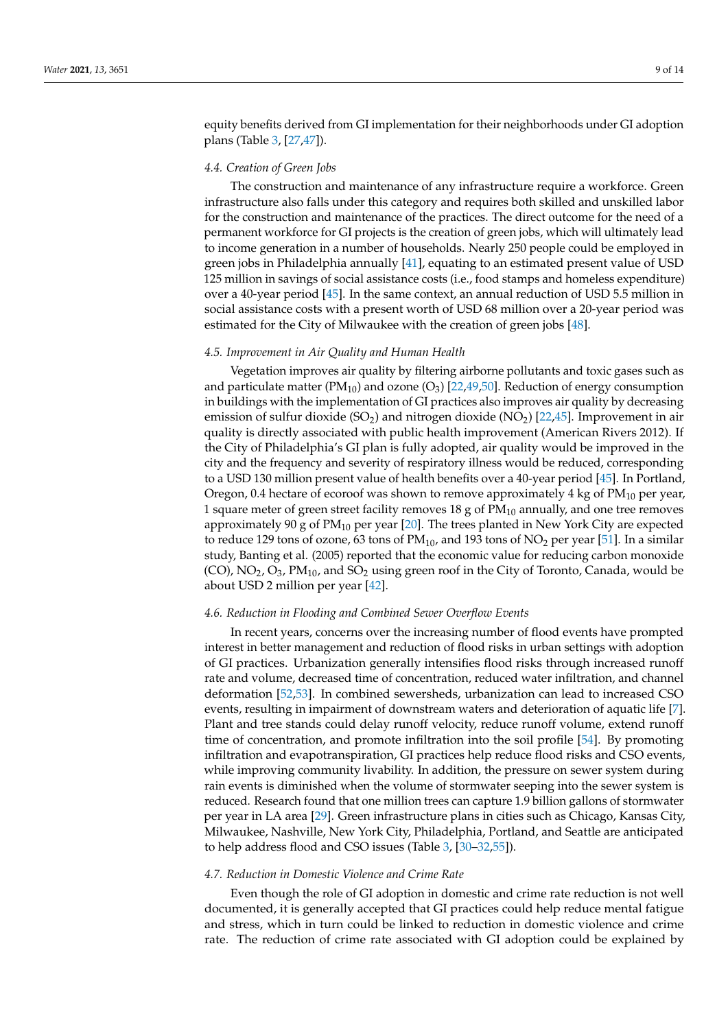equity benefits derived from GI implementation for their neighborhoods under GI adoption plans (Table [3,](#page-7-0) [\[27,](#page-12-16)[47\]](#page-13-15)).

## *4.4. Creation of Green Jobs*

The construction and maintenance of any infrastructure require a workforce. Green infrastructure also falls under this category and requires both skilled and unskilled labor for the construction and maintenance of the practices. The direct outcome for the need of a permanent workforce for GI projects is the creation of green jobs, which will ultimately lead to income generation in a number of households. Nearly 250 people could be employed in green jobs in Philadelphia annually [\[41\]](#page-13-9), equating to an estimated present value of USD 125 million in savings of social assistance costs (i.e., food stamps and homeless expenditure) over a 40-year period [\[45\]](#page-13-13). In the same context, an annual reduction of USD 5.5 million in social assistance costs with a present worth of USD 68 million over a 20-year period was estimated for the City of Milwaukee with the creation of green jobs [\[48\]](#page-13-16).

# *4.5. Improvement in Air Quality and Human Health*

Vegetation improves air quality by filtering airborne pollutants and toxic gases such as and particulate matter ( $PM_{10}$ ) and ozone (O<sub>3</sub>) [\[22,](#page-12-13)[49,](#page-13-17)[50\]](#page-13-18). Reduction of energy consumption in buildings with the implementation of GI practices also improves air quality by decreasing emission of sulfur dioxide (SO<sub>2</sub>) and nitrogen dioxide (NO<sub>2</sub>) [\[22](#page-12-13)[,45\]](#page-13-13). Improvement in air quality is directly associated with public health improvement (American Rivers 2012). If the City of Philadelphia's GI plan is fully adopted, air quality would be improved in the city and the frequency and severity of respiratory illness would be reduced, corresponding to a USD 130 million present value of health benefits over a 40-year period [\[45\]](#page-13-13). In Portland, Oregon, 0.4 hectare of ecoroof was shown to remove approximately 4 kg of  $PM_{10}$  per year, 1 square meter of green street facility removes 18 g of  $PM_{10}$  annually, and one tree removes approximately 90 g of  $PM_{10}$  per year [\[20\]](#page-12-21). The trees planted in New York City are expected to reduce 129 tons of ozone, 63 tons of  $PM_{10}$ , and 193 tons of  $NO<sub>2</sub>$  per year [\[51\]](#page-13-19). In a similar study, Banting et al. (2005) reported that the economic value for reducing carbon monoxide  $(CO)$ ,  $NO<sub>2</sub>$ ,  $O<sub>3</sub>$ ,  $PM<sub>10</sub>$ , and  $SO<sub>2</sub>$  using green roof in the City of Toronto, Canada, would be about USD 2 million per year [\[42\]](#page-13-10).

#### *4.6. Reduction in Flooding and Combined Sewer Overflow Events*

In recent years, concerns over the increasing number of flood events have prompted interest in better management and reduction of flood risks in urban settings with adoption of GI practices. Urbanization generally intensifies flood risks through increased runoff rate and volume, decreased time of concentration, reduced water infiltration, and channel deformation [\[52](#page-13-20)[,53\]](#page-13-21). In combined sewersheds, urbanization can lead to increased CSO events, resulting in impairment of downstream waters and deterioration of aquatic life [\[7\]](#page-12-1). Plant and tree stands could delay runoff velocity, reduce runoff volume, extend runoff time of concentration, and promote infiltration into the soil profile [\[54\]](#page-13-22). By promoting infiltration and evapotranspiration, GI practices help reduce flood risks and CSO events, while improving community livability. In addition, the pressure on sewer system during rain events is diminished when the volume of stormwater seeping into the sewer system is reduced. Research found that one million trees can capture 1.9 billion gallons of stormwater per year in LA area [\[29\]](#page-12-18). Green infrastructure plans in cities such as Chicago, Kansas City, Milwaukee, Nashville, New York City, Philadelphia, Portland, and Seattle are anticipated to help address flood and CSO issues (Table [3,](#page-7-0) [\[30–](#page-12-19)[32,](#page-13-0)[55\]](#page-13-23)).

## *4.7. Reduction in Domestic Violence and Crime Rate*

Even though the role of GI adoption in domestic and crime rate reduction is not well documented, it is generally accepted that GI practices could help reduce mental fatigue and stress, which in turn could be linked to reduction in domestic violence and crime rate. The reduction of crime rate associated with GI adoption could be explained by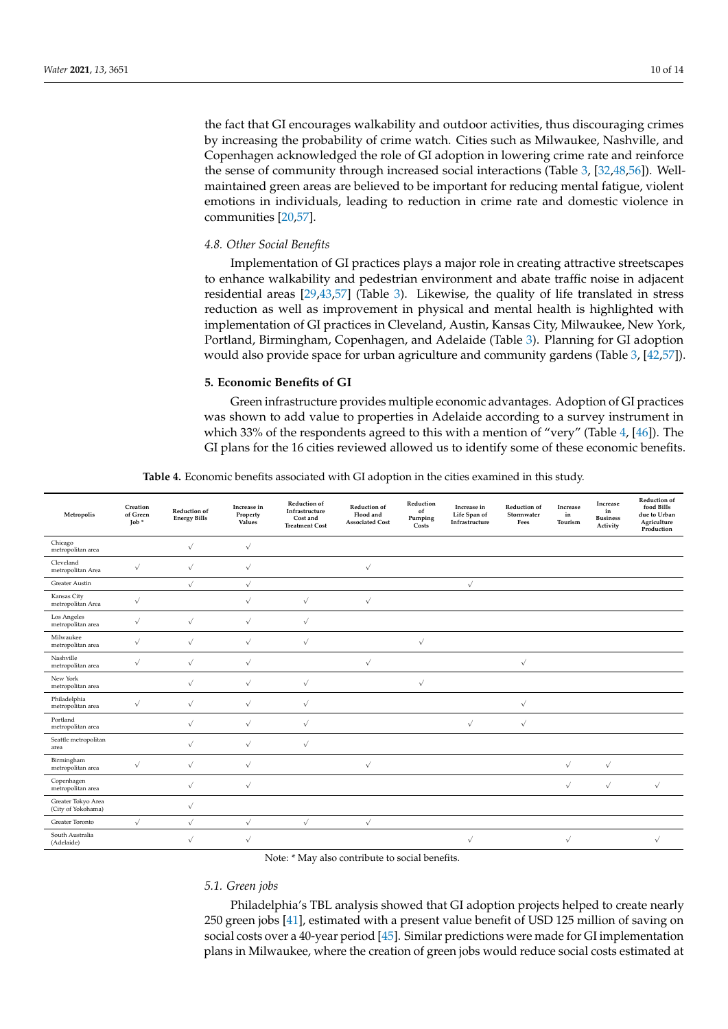the fact that GI encourages walkability and outdoor activities, thus discouraging crimes by increasing the probability of crime watch. Cities such as Milwaukee, Nashville, and Copenhagen acknowledged the role of GI adoption in lowering crime rate and reinforce the sense of community through increased social interactions (Table [3,](#page-7-0) [\[32](#page-13-0)[,48](#page-13-16)[,56\]](#page-13-24)). Wellmaintained green areas are believed to be important for reducing mental fatigue, violent emotions in individuals, leading to reduction in crime rate and domestic violence in communities [\[20](#page-12-21)[,57\]](#page-13-25).

## *4.8. Other Social Benefits*

Implementation of GI practices plays a major role in creating attractive streetscapes to enhance walkability and pedestrian environment and abate traffic noise in adjacent residential areas [\[29](#page-12-18)[,43](#page-13-11)[,57\]](#page-13-25) (Table [3\)](#page-7-0). Likewise, the quality of life translated in stress reduction as well as improvement in physical and mental health is highlighted with implementation of GI practices in Cleveland, Austin, Kansas City, Milwaukee, New York, Portland, Birmingham, Copenhagen, and Adelaide (Table [3\)](#page-7-0). Planning for GI adoption would also provide space for urban agriculture and community gardens (Table [3,](#page-7-0) [\[42](#page-13-10)[,57\]](#page-13-25)).

## **5. Economic Benefits of GI**

Green infrastructure provides multiple economic advantages. Adoption of GI practices was shown to add value to properties in Adelaide according to a survey instrument in which 33% of the respondents agreed to this with a mention of "very" (Table [4,](#page-9-0) [\[46\]](#page-13-14)). The GI plans for the 16 cities reviewed allowed us to identify some of these economic benefits.

**Table 4.** Economic benefits associated with GI adoption in the cities examined in this study.

<span id="page-9-0"></span>

| Metropolis                               | Creation<br>of Green<br>$\text{Job}$ * | Reduction of<br><b>Energy Bills</b> | Increase in<br>Property<br>Values | <b>Reduction of</b><br>Infrastructure<br>Cost and<br><b>Treatment Cost</b> | Reduction of<br>Flood and<br><b>Associated Cost</b> | Reduction<br>of<br>Pumping<br>Costs | Increase in<br>Life Span of<br>Infrastructure | Reduction of<br>Stormwater<br>Fees | Increase<br>in<br>Tourism | Increase<br>in<br><b>Business</b><br>Activity | Reduction of<br>food Bills<br>due to Urban<br>Agriculture<br>Production |
|------------------------------------------|----------------------------------------|-------------------------------------|-----------------------------------|----------------------------------------------------------------------------|-----------------------------------------------------|-------------------------------------|-----------------------------------------------|------------------------------------|---------------------------|-----------------------------------------------|-------------------------------------------------------------------------|
| Chicago<br>metropolitan area             |                                        | $\sqrt{}$                           | $\checkmark$                      |                                                                            |                                                     |                                     |                                               |                                    |                           |                                               |                                                                         |
| Cleveland<br>metropolitan Area           | $\sqrt{}$                              | $\sqrt{}$                           | $\sqrt{}$                         |                                                                            | $\checkmark$                                        |                                     |                                               |                                    |                           |                                               |                                                                         |
| <b>Greater Austin</b>                    |                                        | $\sqrt{}$                           | $\sqrt{}$                         |                                                                            |                                                     |                                     | $\checkmark$                                  |                                    |                           |                                               |                                                                         |
| Kansas City<br>metropolitan Area         | $\sqrt{ }$                             |                                     | $\sqrt{}$                         | $\sqrt{ }$                                                                 | $\sqrt{}$                                           |                                     |                                               |                                    |                           |                                               |                                                                         |
| Los Angeles<br>metropolitan area         | $\sqrt{}$                              | $\sqrt{}$                           | $\sqrt{ }$                        | $\sqrt{}$                                                                  |                                                     |                                     |                                               |                                    |                           |                                               |                                                                         |
| Milwaukee<br>metropolitan area           | $\sqrt{}$                              | $\sqrt{}$                           | $\sqrt{ }$                        | $\sqrt{}$                                                                  |                                                     | $\sqrt{ }$                          |                                               |                                    |                           |                                               |                                                                         |
| Nashville<br>metropolitan area           | $\sqrt{}$                              | $\sqrt{}$                           | $\sqrt{}$                         |                                                                            | $\sqrt{}$                                           |                                     |                                               | $\sqrt{}$                          |                           |                                               |                                                                         |
| New York<br>metropolitan area            |                                        | $\sqrt{ }$                          | $\checkmark$                      | $\sqrt{}$                                                                  |                                                     | $\checkmark$                        |                                               |                                    |                           |                                               |                                                                         |
| Philadelphia<br>metropolitan area        | $\sqrt{ }$                             | $\sqrt{ }$                          | $\sqrt{}$                         | $\sqrt{ }$                                                                 |                                                     |                                     |                                               | $\sqrt{}$                          |                           |                                               |                                                                         |
| Portland<br>metropolitan area            |                                        | $\sqrt{}$                           | $\sqrt{ }$                        | $\sqrt{}$                                                                  |                                                     |                                     | $\sqrt{}$                                     | $\checkmark$                       |                           |                                               |                                                                         |
| Seattle metropolitan<br>area             |                                        | $\sqrt{ }$                          | $\sqrt{ }$                        | $\sqrt{ }$                                                                 |                                                     |                                     |                                               |                                    |                           |                                               |                                                                         |
| Birmingham<br>metropolitan area          | $\checkmark$                           | $\sqrt{ }$                          | $\sqrt{}$                         |                                                                            | $\sqrt{}$                                           |                                     |                                               |                                    | $\checkmark$              | $\checkmark$                                  |                                                                         |
| Copenhagen<br>metropolitan area          |                                        | $\sqrt{}$                           | $\sqrt{}$                         |                                                                            |                                                     |                                     |                                               |                                    | $\checkmark$              | $\sqrt{}$                                     | $\sqrt{}$                                                               |
| Greater Tokyo Area<br>(City of Yokohama) |                                        | $\sqrt{}$                           |                                   |                                                                            |                                                     |                                     |                                               |                                    |                           |                                               |                                                                         |
| Greater Toronto                          | $\sqrt{}$                              | $\sqrt{}$                           | $\sqrt{}$                         | $\sqrt{}$                                                                  | $\sqrt{}$                                           |                                     |                                               |                                    |                           |                                               |                                                                         |
| South Australia<br>(Adelaide)            |                                        | $\sqrt{}$                           | $\sqrt{}$                         |                                                                            |                                                     |                                     | $\sqrt{}$                                     |                                    | $\sqrt{}$                 |                                               | $\sqrt{ }$                                                              |

Note: \* May also contribute to social benefits.

# *5.1. Green jobs*

Philadelphia's TBL analysis showed that GI adoption projects helped to create nearly 250 green jobs [\[41\]](#page-13-9), estimated with a present value benefit of USD 125 million of saving on social costs over a 40-year period [\[45\]](#page-13-13). Similar predictions were made for GI implementation plans in Milwaukee, where the creation of green jobs would reduce social costs estimated at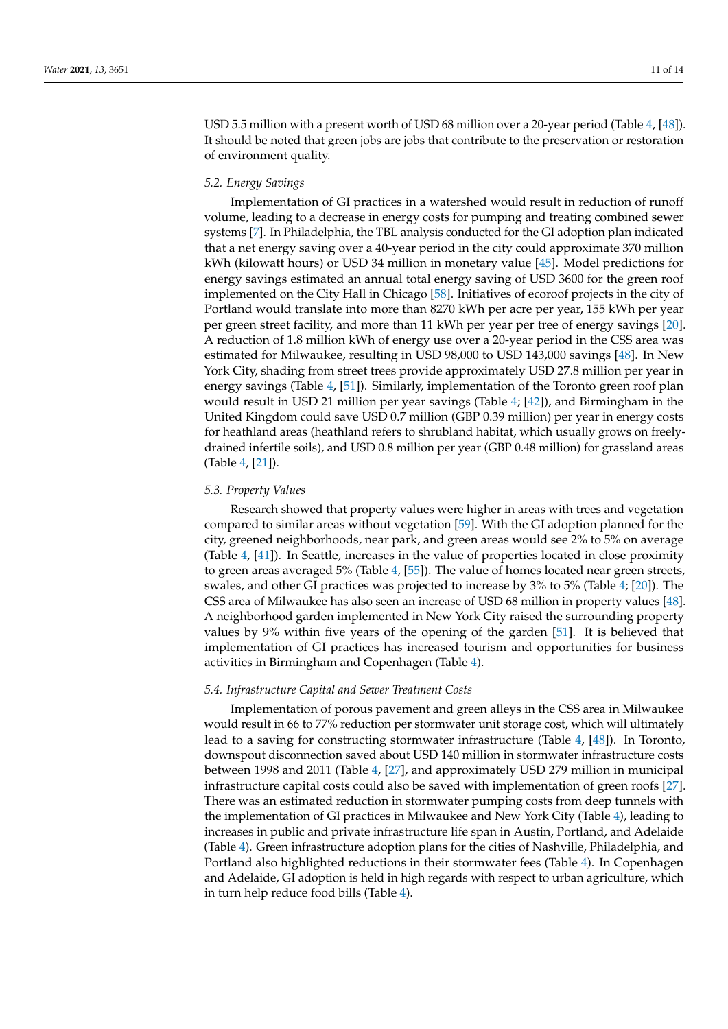USD 5.5 million with a present worth of USD 68 million over a 20-year period (Table [4,](#page-9-0) [\[48\]](#page-13-16)). It should be noted that green jobs are jobs that contribute to the preservation or restoration of environment quality.

## *5.2. Energy Savings*

Implementation of GI practices in a watershed would result in reduction of runoff volume, leading to a decrease in energy costs for pumping and treating combined sewer systems [\[7\]](#page-12-1). In Philadelphia, the TBL analysis conducted for the GI adoption plan indicated that a net energy saving over a 40-year period in the city could approximate 370 million kWh (kilowatt hours) or USD 34 million in monetary value [\[45\]](#page-13-13). Model predictions for energy savings estimated an annual total energy saving of USD 3600 for the green roof implemented on the City Hall in Chicago [\[58\]](#page-13-26). Initiatives of ecoroof projects in the city of Portland would translate into more than 8270 kWh per acre per year, 155 kWh per year per green street facility, and more than 11 kWh per year per tree of energy savings [\[20\]](#page-12-21). A reduction of 1.8 million kWh of energy use over a 20-year period in the CSS area was estimated for Milwaukee, resulting in USD 98,000 to USD 143,000 savings [\[48\]](#page-13-16). In New York City, shading from street trees provide approximately USD 27.8 million per year in energy savings (Table [4,](#page-9-0) [\[51\]](#page-13-19)). Similarly, implementation of the Toronto green roof plan would result in USD 21 million per year savings (Table [4;](#page-9-0) [\[42\]](#page-13-10)), and Birmingham in the United Kingdom could save USD 0.7 million (GBP 0.39 million) per year in energy costs for heathland areas (heathland refers to shrubland habitat, which usually grows on freelydrained infertile soils), and USD 0.8 million per year (GBP 0.48 million) for grassland areas (Table [4,](#page-9-0) [\[21\]](#page-12-12)).

# *5.3. Property Values*

Research showed that property values were higher in areas with trees and vegetation compared to similar areas without vegetation [\[59\]](#page-13-27). With the GI adoption planned for the city, greened neighborhoods, near park, and green areas would see 2% to 5% on average (Table [4,](#page-9-0) [\[41\]](#page-13-9)). In Seattle, increases in the value of properties located in close proximity to green areas averaged 5% (Table [4,](#page-9-0) [\[55\]](#page-13-23)). The value of homes located near green streets, swales, and other GI practices was projected to increase by 3% to 5% (Table [4;](#page-9-0) [\[20\]](#page-12-21)). The CSS area of Milwaukee has also seen an increase of USD 68 million in property values [\[48\]](#page-13-16). A neighborhood garden implemented in New York City raised the surrounding property values by 9% within five years of the opening of the garden [\[51\]](#page-13-19). It is believed that implementation of GI practices has increased tourism and opportunities for business activities in Birmingham and Copenhagen (Table [4\)](#page-9-0).

# *5.4. Infrastructure Capital and Sewer Treatment Costs*

Implementation of porous pavement and green alleys in the CSS area in Milwaukee would result in 66 to 77% reduction per stormwater unit storage cost, which will ultimately lead to a saving for constructing stormwater infrastructure (Table [4,](#page-9-0) [\[48\]](#page-13-16)). In Toronto, downspout disconnection saved about USD 140 million in stormwater infrastructure costs between 1998 and 2011 (Table [4,](#page-9-0) [\[27\]](#page-12-16), and approximately USD 279 million in municipal infrastructure capital costs could also be saved with implementation of green roofs [\[27\]](#page-12-16). There was an estimated reduction in stormwater pumping costs from deep tunnels with the implementation of GI practices in Milwaukee and New York City (Table [4\)](#page-9-0), leading to increases in public and private infrastructure life span in Austin, Portland, and Adelaide (Table [4\)](#page-9-0). Green infrastructure adoption plans for the cities of Nashville, Philadelphia, and Portland also highlighted reductions in their stormwater fees (Table [4\)](#page-9-0). In Copenhagen and Adelaide, GI adoption is held in high regards with respect to urban agriculture, which in turn help reduce food bills (Table [4\)](#page-9-0).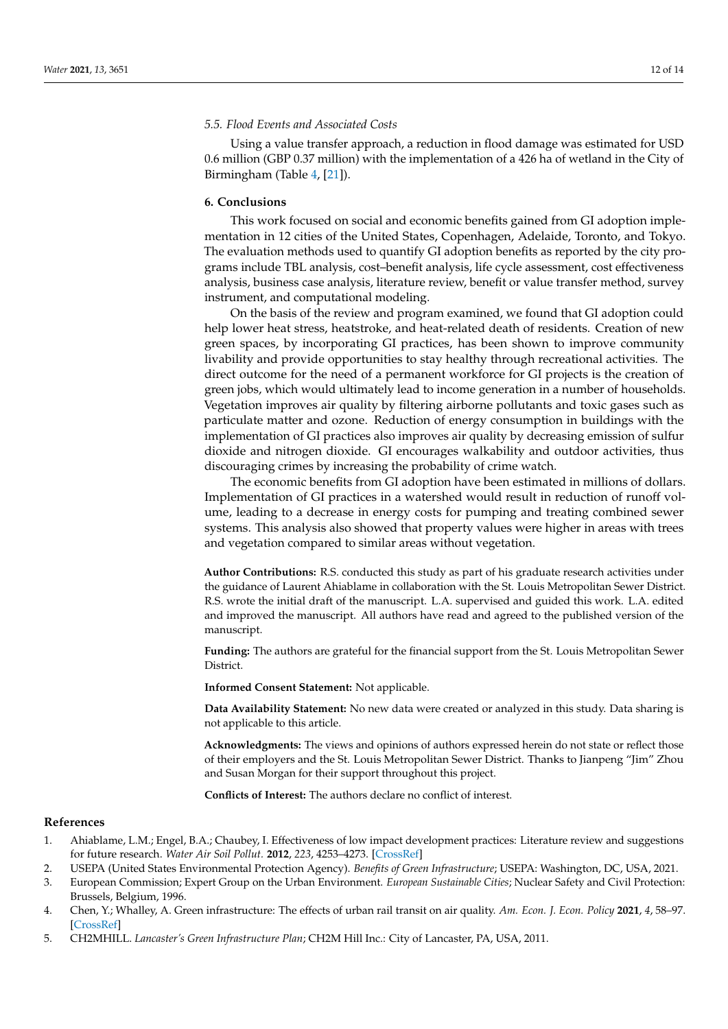## *5.5. Flood Events and Associated Costs*

Using a value transfer approach, a reduction in flood damage was estimated for USD 0.6 million (GBP 0.37 million) with the implementation of a 426 ha of wetland in the City of Birmingham (Table [4,](#page-9-0) [\[21\]](#page-12-12)).

# **6. Conclusions**

This work focused on social and economic benefits gained from GI adoption implementation in 12 cities of the United States, Copenhagen, Adelaide, Toronto, and Tokyo. The evaluation methods used to quantify GI adoption benefits as reported by the city programs include TBL analysis, cost–benefit analysis, life cycle assessment, cost effectiveness analysis, business case analysis, literature review, benefit or value transfer method, survey instrument, and computational modeling.

On the basis of the review and program examined, we found that GI adoption could help lower heat stress, heatstroke, and heat-related death of residents. Creation of new green spaces, by incorporating GI practices, has been shown to improve community livability and provide opportunities to stay healthy through recreational activities. The direct outcome for the need of a permanent workforce for GI projects is the creation of green jobs, which would ultimately lead to income generation in a number of households. Vegetation improves air quality by filtering airborne pollutants and toxic gases such as particulate matter and ozone. Reduction of energy consumption in buildings with the implementation of GI practices also improves air quality by decreasing emission of sulfur dioxide and nitrogen dioxide. GI encourages walkability and outdoor activities, thus discouraging crimes by increasing the probability of crime watch.

The economic benefits from GI adoption have been estimated in millions of dollars. Implementation of GI practices in a watershed would result in reduction of runoff volume, leading to a decrease in energy costs for pumping and treating combined sewer systems. This analysis also showed that property values were higher in areas with trees and vegetation compared to similar areas without vegetation.

**Author Contributions:** R.S. conducted this study as part of his graduate research activities under the guidance of Laurent Ahiablame in collaboration with the St. Louis Metropolitan Sewer District. R.S. wrote the initial draft of the manuscript. L.A. supervised and guided this work. L.A. edited and improved the manuscript. All authors have read and agreed to the published version of the manuscript.

**Funding:** The authors are grateful for the financial support from the St. Louis Metropolitan Sewer District.

**Informed Consent Statement:** Not applicable.

**Data Availability Statement:** No new data were created or analyzed in this study. Data sharing is not applicable to this article.

**Acknowledgments:** The views and opinions of authors expressed herein do not state or reflect those of their employers and the St. Louis Metropolitan Sewer District. Thanks to Jianpeng "Jim" Zhou and Susan Morgan for their support throughout this project.

**Conflicts of Interest:** The authors declare no conflict of interest.

## **References**

- <span id="page-11-0"></span>1. Ahiablame, L.M.; Engel, B.A.; Chaubey, I. Effectiveness of low impact development practices: Literature review and suggestions for future research. *Water Air Soil Pollut.* **2012**, *223*, 4253–4273. [\[CrossRef\]](http://doi.org/10.1007/s11270-012-1189-2)
- 2. USEPA (United States Environmental Protection Agency). *Benefits of Green Infrastructure*; USEPA: Washington, DC, USA, 2021.
- <span id="page-11-2"></span>3. European Commission; Expert Group on the Urban Environment. *European Sustainable Cities*; Nuclear Safety and Civil Protection: Brussels, Belgium, 1996.
- <span id="page-11-1"></span>4. Chen, Y.; Whalley, A. Green infrastructure: The effects of urban rail transit on air quality. *Am. Econ. J. Econ. Policy* **2021**, *4*, 58–97. [\[CrossRef\]](http://doi.org/10.1257/pol.4.1.58)
- <span id="page-11-3"></span>5. CH2MHILL. *Lancaster's Green Infrastructure Plan*; CH2M Hill Inc.: City of Lancaster, PA, USA, 2011.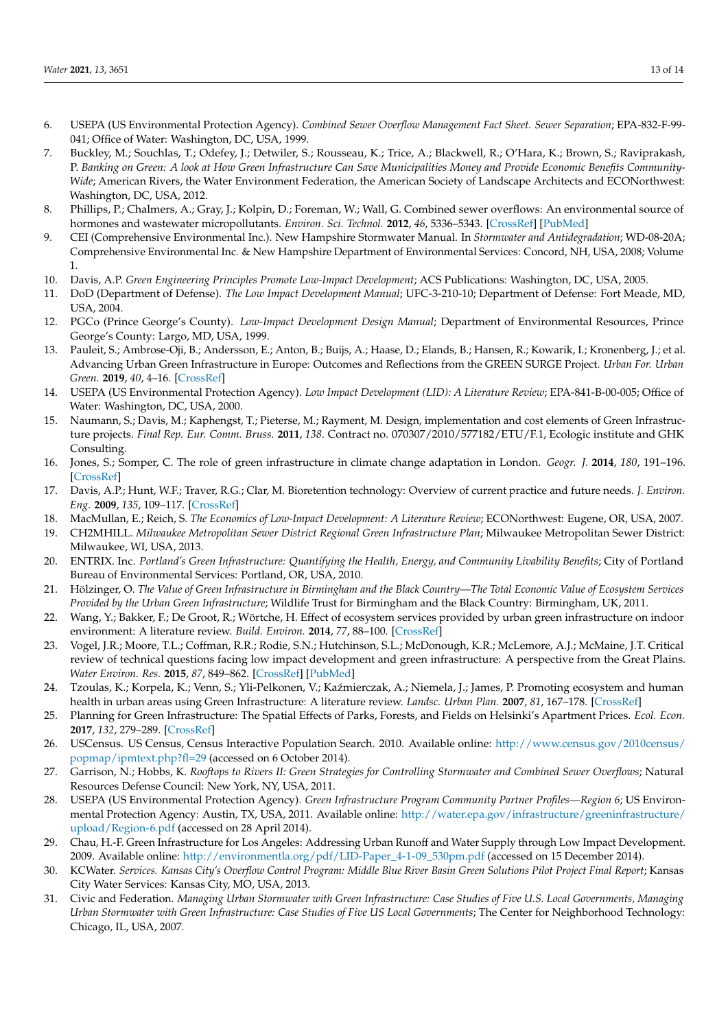- <span id="page-12-0"></span>6. USEPA (US Environmental Protection Agency). *Combined Sewer Overflow Management Fact Sheet. Sewer Separation*; EPA-832-F-99- 041; Office of Water: Washington, DC, USA, 1999.
- <span id="page-12-1"></span>7. Buckley, M.; Souchlas, T.; Odefey, J.; Detwiler, S.; Rousseau, K.; Trice, A.; Blackwell, R.; O'Hara, K.; Brown, S.; Raviprakash, P. *Banking on Green: A look at How Green Infrastructure Can Save Municipalities Money and Provide Economic Benefits Community-Wide*; American Rivers, the Water Environment Federation, the American Society of Landscape Architects and ECONorthwest: Washington, DC, USA, 2012.
- <span id="page-12-2"></span>8. Phillips, P.; Chalmers, A.; Gray, J.; Kolpin, D.; Foreman, W.; Wall, G. Combined sewer overflows: An environmental source of hormones and wastewater micropollutants. *Environ. Sci. Technol.* **2012**, *46*, 5336–5343. [\[CrossRef\]](http://doi.org/10.1021/es3001294) [\[PubMed\]](http://www.ncbi.nlm.nih.gov/pubmed/22540536)
- <span id="page-12-3"></span>9. CEI (Comprehensive Environmental Inc.). New Hampshire Stormwater Manual. In *Stormwater and Antidegradation*; WD-08-20A; Comprehensive Environmental Inc. & New Hampshire Department of Environmental Services: Concord, NH, USA, 2008; Volume 1.
- <span id="page-12-8"></span>10. Davis, A.P. *Green Engineering Principles Promote Low-Impact Development*; ACS Publications: Washington, DC, USA, 2005.
- 11. DoD (Department of Defense). *The Low Impact Development Manual*; UFC-3-210-10; Department of Defense: Fort Meade, MD, USA, 2004.
- 12. PGCo (Prince George's County). *Low-Impact Development Design Manual*; Department of Environmental Resources, Prince George's County: Largo, MD, USA, 1999.
- <span id="page-12-4"></span>13. Pauleit, S.; Ambrose-Oji, B.; Andersson, E.; Anton, B.; Buijs, A.; Haase, D.; Elands, B.; Hansen, R.; Kowarik, I.; Kronenberg, J.; et al. Advancing Urban Green Infrastructure in Europe: Outcomes and Reflections from the GREEN SURGE Project. *Urban For. Urban Green.* **2019**, *40*, 4–16. [\[CrossRef\]](http://doi.org/10.1016/j.ufug.2018.10.006)
- <span id="page-12-5"></span>14. USEPA (US Environmental Protection Agency). *Low Impact Development (LID): A Literature Review*; EPA-841-B-00-005; Office of Water: Washington, DC, USA, 2000.
- <span id="page-12-6"></span>15. Naumann, S.; Davis, M.; Kaphengst, T.; Pieterse, M.; Rayment, M. Design, implementation and cost elements of Green Infrastructure projects. *Final Rep. Eur. Comm. Bruss.* **2011**, *138*. Contract no. 070307/2010/577182/ETU/F.1, Ecologic institute and GHK Consulting.
- <span id="page-12-7"></span>16. Jones, S.; Somper, C. The role of green infrastructure in climate change adaptation in London. *Geogr. J.* **2014**, *180*, 191–196. [\[CrossRef\]](http://doi.org/10.1111/geoj.12059)
- <span id="page-12-9"></span>17. Davis, A.P.; Hunt, W.F.; Traver, R.G.; Clar, M. Bioretention technology: Overview of current practice and future needs. *J. Environ. Eng.* **2009**, *135*, 109–117. [\[CrossRef\]](http://doi.org/10.1061/(ASCE)0733-9372(2009)135:3(109))
- <span id="page-12-10"></span>18. MacMullan, E.; Reich, S. *The Economics of Low-Impact Development: A Literature Review*; ECONorthwest: Eugene, OR, USA, 2007.
- <span id="page-12-11"></span>19. CH2MHILL. *Milwaukee Metropolitan Sewer District Regional Green Infrastructure Plan*; Milwaukee Metropolitan Sewer District: Milwaukee, WI, USA, 2013.
- <span id="page-12-21"></span>20. ENTRIX. Inc. *Portland's Green Infrastructure: Quantifying the Health, Energy, and Community Livability Benefits*; City of Portland Bureau of Environmental Services: Portland, OR, USA, 2010.
- <span id="page-12-12"></span>21. Hölzinger, O. *The Value of Green Infrastructure in Birmingham and the Black Country—The Total Economic Value of Ecosystem Services Provided by the Urban Green Infrastructure*; Wildlife Trust for Birmingham and the Black Country: Birmingham, UK, 2011.
- <span id="page-12-13"></span>22. Wang, Y.; Bakker, F.; De Groot, R.; Wörtche, H. Effect of ecosystem services provided by urban green infrastructure on indoor environment: A literature review. *Build. Environ.* **2014**, *77*, 88–100. [\[CrossRef\]](http://doi.org/10.1016/j.buildenv.2014.03.021)
- 23. Vogel, J.R.; Moore, T.L.; Coffman, R.R.; Rodie, S.N.; Hutchinson, S.L.; McDonough, K.R.; McLemore, A.J.; McMaine, J.T. Critical review of technical questions facing low impact development and green infrastructure: A perspective from the Great Plains. *Water Environ. Res.* **2015**, *87*, 849–862. [\[CrossRef\]](http://doi.org/10.2175/106143015X14362865226392) [\[PubMed\]](http://www.ncbi.nlm.nih.gov/pubmed/26961478)
- 24. Tzoulas, K.; Korpela, K.; Venn, S.; Yli-Pelkonen, V.; Kaźmierczak, A.; Niemela, J.; James, P. Promoting ecosystem and human health in urban areas using Green Infrastructure: A literature review. *Landsc. Urban Plan.* **2007**, *81*, 167–178. [\[CrossRef\]](http://doi.org/10.1016/j.landurbplan.2007.02.001)
- <span id="page-12-14"></span>25. Planning for Green Infrastructure: The Spatial Effects of Parks, Forests, and Fields on Helsinki's Apartment Prices. *Ecol. Econ.* **2017**, *132*, 279–289. [\[CrossRef\]](http://doi.org/10.1016/j.ecolecon.2016.09.029)
- <span id="page-12-15"></span>26. USCensus. US Census, Census Interactive Population Search. 2010. Available online: [http://www.census.gov/2010census/](http://www.census.gov/2010census/popmap/ipmtext.php?fl=29) [popmap/ipmtext.php?fl=29](http://www.census.gov/2010census/popmap/ipmtext.php?fl=29) (accessed on 6 October 2014).
- <span id="page-12-16"></span>27. Garrison, N.; Hobbs, K. *Rooftops to Rivers II: Green Strategies for Controlling Stormwater and Combined Sewer Overflows*; Natural Resources Defense Council: New York, NY, USA, 2011.
- <span id="page-12-17"></span>28. USEPA (US Environmental Protection Agency). *Green Infrastructure Program Community Partner Profiles—Region 6*; US Environmental Protection Agency: Austin, TX, USA, 2011. Available online: [http://water.epa.gov/infrastructure/greeninfrastructure/](http://water.epa.gov/infrastructure/greeninfrastructure/upload/Region-6.pdf) [upload/Region-6.pdf](http://water.epa.gov/infrastructure/greeninfrastructure/upload/Region-6.pdf) (accessed on 28 April 2014).
- <span id="page-12-18"></span>29. Chau, H.-F. Green Infrastructure for Los Angeles: Addressing Urban Runoff and Water Supply through Low Impact Development. 2009. Available online: [http://environmentla.org/pdf/LID-Paper\\_4-1-09\\_530pm.pdf](http://environmentla.org/pdf/LID-Paper_4-1-09_530pm.pdf) (accessed on 15 December 2014).
- <span id="page-12-19"></span>30. KCWater. *Services. Kansas City's Overflow Control Program: Middle Blue River Basin Green Solutions Pilot Project Final Report*; Kansas City Water Services: Kansas City, MO, USA, 2013.
- <span id="page-12-20"></span>31. Civic and Federation. *Managing Urban Stormwater with Green Infrastructure: Case Studies of Five U.S. Local Governments, Managing Urban Stormwater with Green Infrastructure: Case Studies of Five US Local Governments*; The Center for Neighborhood Technology: Chicago, IL, USA, 2007.